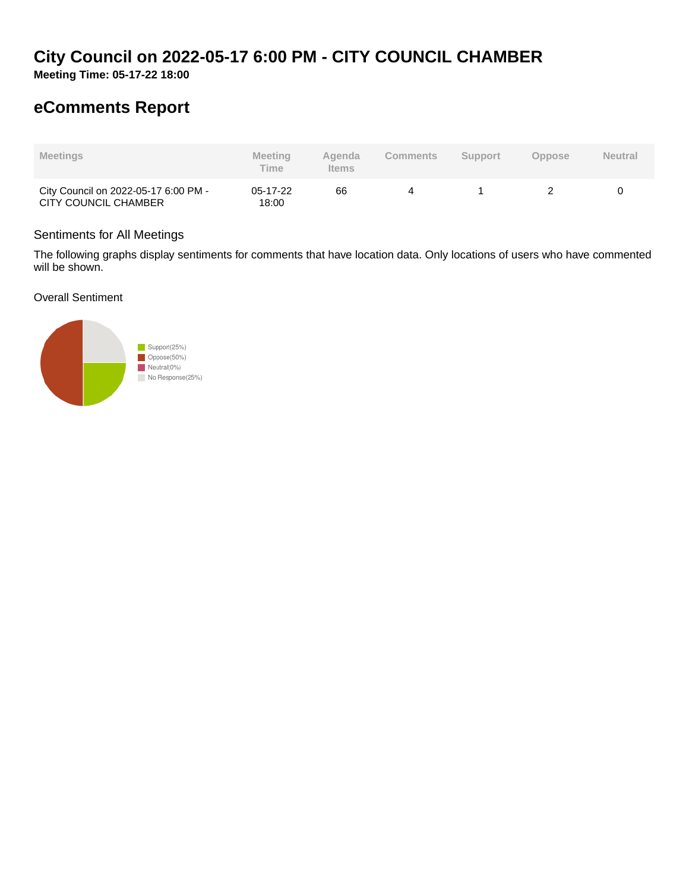# **City Council on 2022-05-17 6:00 PM - CITY COUNCIL CHAMBER**

**Meeting Time: 05-17-22 18:00**

# **eComments Report**

| <b>Meetings</b>                                              | <b>Meeting</b><br><b>Time</b> | Agenda<br><b>Items</b> | Comments | <b>Support</b> | <b>Oppose</b> | <b>Neutral</b> |
|--------------------------------------------------------------|-------------------------------|------------------------|----------|----------------|---------------|----------------|
| City Council on 2022-05-17 6:00 PM -<br>CITY COUNCIL CHAMBER | $05-17-22$<br>18:00           | 66                     | Δ        |                |               |                |

## Sentiments for All Meetings

The following graphs display sentiments for comments that have location data. Only locations of users who have commented will be shown.

Overall Sentiment

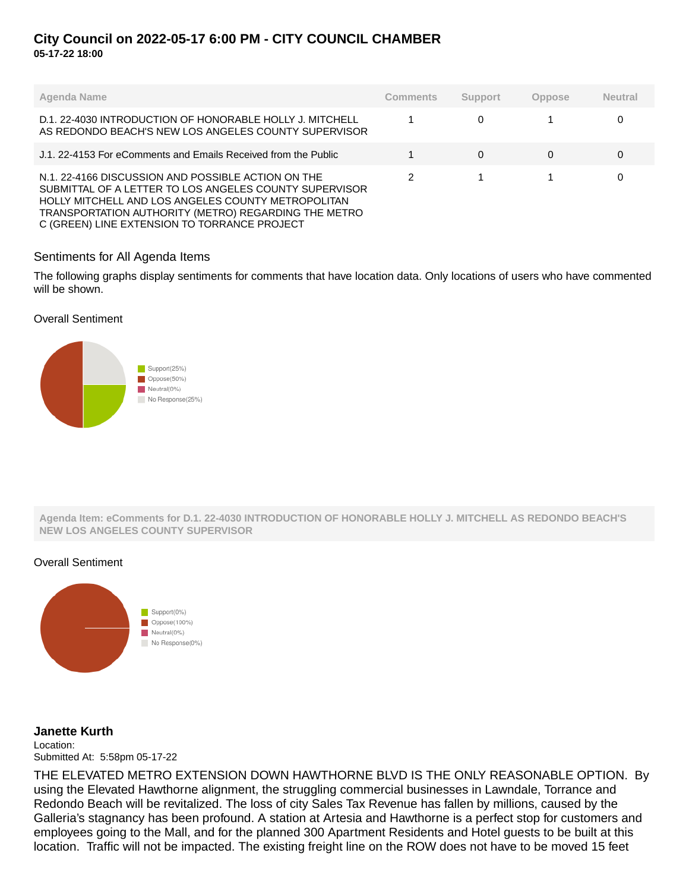# **City Council on 2022-05-17 6:00 PM - CITY COUNCIL CHAMBER 05-17-22 18:00**

| Agenda Name                                                                                                                                                                                                                                                                | <b>Comments</b> | <b>Support</b> | <b>Oppose</b> | <b>Neutral</b> |
|----------------------------------------------------------------------------------------------------------------------------------------------------------------------------------------------------------------------------------------------------------------------------|-----------------|----------------|---------------|----------------|
| D.1. 22-4030 INTRODUCTION OF HONORABLE HOLLY J. MITCHELL<br>AS REDONDO BEACH'S NEW LOS ANGELES COUNTY SUPERVISOR                                                                                                                                                           |                 | $\Omega$       |               |                |
| J.1, 22-4153 For eComments and Emails Received from the Public                                                                                                                                                                                                             |                 | $\Omega$       | 0             | 0              |
| N.1, 22-4166 DISCUSSION AND POSSIBLE ACTION ON THE<br>SUBMITTAL OF A LETTER TO LOS ANGELES COUNTY SUPERVISOR<br>HOLLY MITCHELL AND LOS ANGELES COUNTY METROPOLITAN<br>TRANSPORTATION AUTHORITY (METRO) REGARDING THE METRO<br>C (GREEN) LINE EXTENSION TO TORRANCE PROJECT |                 |                |               |                |

## Sentiments for All Agenda Items

The following graphs display sentiments for comments that have location data. Only locations of users who have commented will be shown.

### Overall Sentiment



**Agenda Item: eComments for D.1. 22-4030 INTRODUCTION OF HONORABLE HOLLY J. MITCHELL AS REDONDO BEACH'S NEW LOS ANGELES COUNTY SUPERVISOR**

#### Overall Sentiment



## **Janette Kurth**

Location: Submitted At: 5:58pm 05-17-22

THE ELEVATED METRO EXTENSION DOWN HAWTHORNE BLVD IS THE ONLY REASONABLE OPTION. By using the Elevated Hawthorne alignment, the struggling commercial businesses in Lawndale, Torrance and Redondo Beach will be revitalized. The loss of city Sales Tax Revenue has fallen by millions, caused by the Galleria's stagnancy has been profound. A station at Artesia and Hawthorne is a perfect stop for customers and employees going to the Mall, and for the planned 300 Apartment Residents and Hotel guests to be built at this location. Traffic will not be impacted. The existing freight line on the ROW does not have to be moved 15 feet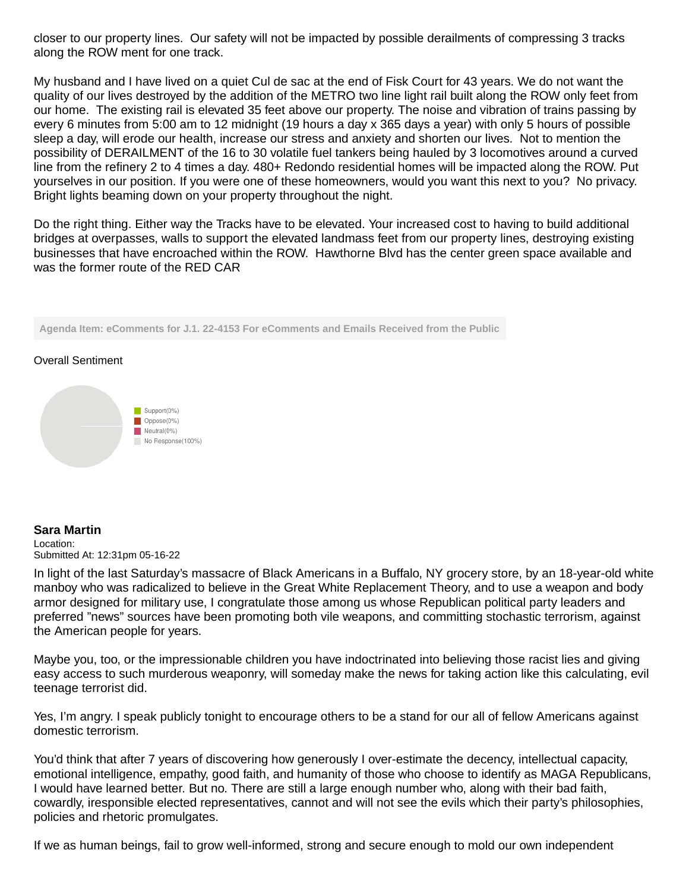closer to our property lines. Our safety will not be impacted by possible derailments of compressing 3 tracks along the ROW ment for one track.

My husband and I have lived on a quiet Cul de sac at the end of Fisk Court for 43 years. We do not want the quality of our lives destroyed by the addition of the METRO two line light rail built along the ROW only feet from our home. The existing rail is elevated 35 feet above our property. The noise and vibration of trains passing by every 6 minutes from 5:00 am to 12 midnight (19 hours a day x 365 days a year) with only 5 hours of possible sleep a day, will erode our health, increase our stress and anxiety and shorten our lives. Not to mention the possibility of DERAILMENT of the 16 to 30 volatile fuel tankers being hauled by 3 locomotives around a curved line from the refinery 2 to 4 times a day. 480+ Redondo residential homes will be impacted along the ROW. Put yourselves in our position. If you were one of these homeowners, would you want this next to you? No privacy. Bright lights beaming down on your property throughout the night.

Do the right thing. Either way the Tracks have to be elevated. Your increased cost to having to build additional bridges at overpasses, walls to support the elevated landmass feet from our property lines, destroying existing businesses that have encroached within the ROW. Hawthorne Blvd has the center green space available and was the former route of the RED CAR



## **Sara Martin**

Location: Submitted At: 12:31pm 05-16-22

In light of the last Saturday's massacre of Black Americans in a Buffalo, NY grocery store, by an 18-year-old white manboy who was radicalized to believe in the Great White Replacement Theory, and to use a weapon and body armor designed for military use, I congratulate those among us whose Republican political party leaders and preferred "news" sources have been promoting both vile weapons, and committing stochastic terrorism, against the American people for years.

Maybe you, too, or the impressionable children you have indoctrinated into believing those racist lies and giving easy access to such murderous weaponry, will someday make the news for taking action like this calculating, evil teenage terrorist did.

Yes, I'm angry. I speak publicly tonight to encourage others to be a stand for our all of fellow Americans against domestic terrorism.

You'd think that after 7 years of discovering how generously I over-estimate the decency, intellectual capacity, emotional intelligence, empathy, good faith, and humanity of those who choose to identify as MAGA Republicans, I would have learned better. But no. There are still a large enough number who, along with their bad faith, cowardly, iresponsible elected representatives, cannot and will not see the evils which their party's philosophies, policies and rhetoric promulgates.

If we as human beings, fail to grow well-informed, strong and secure enough to mold our own independent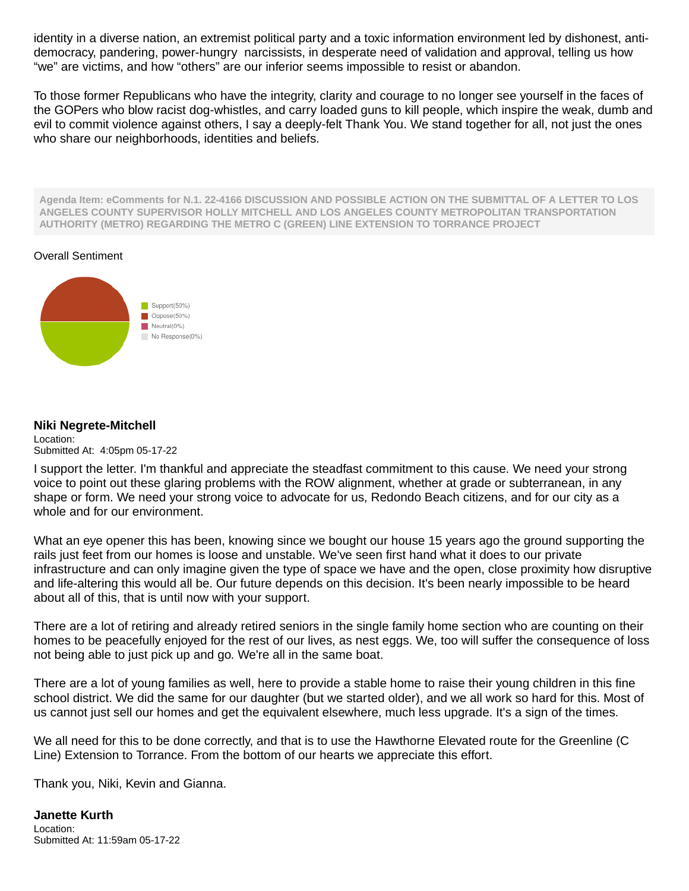identity in a diverse nation, an extremist political party and a toxic information environment led by dishonest, antidemocracy, pandering, power-hungry narcissists, in desperate need of validation and approval, telling us how "we" are victims, and how "others" are our inferior seems impossible to resist or abandon.

To those former Republicans who have the integrity, clarity and courage to no longer see yourself in the faces of the GOPers who blow racist dog-whistles, and carry loaded guns to kill people, which inspire the weak, dumb and evil to commit violence against others, I say a deeply-felt Thank You. We stand together for all, not just the ones who share our neighborhoods, identities and beliefs.

**Agenda Item: eComments for N.1. 22-4166 DISCUSSION AND POSSIBLE ACTION ON THE SUBMITTAL OF A LETTER TO LOS ANGELES COUNTY SUPERVISOR HOLLY MITCHELL AND LOS ANGELES COUNTY METROPOLITAN TRANSPORTATION AUTHORITY (METRO) REGARDING THE METRO C (GREEN) LINE EXTENSION TO TORRANCE PROJECT**

### Overall Sentiment



## **Niki Negrete-Mitchell**

Location: Submitted At: 4:05pm 05-17-22

I support the letter. I'm thankful and appreciate the steadfast commitment to this cause. We need your strong voice to point out these glaring problems with the ROW alignment, whether at grade or subterranean, in any shape or form. We need your strong voice to advocate for us, Redondo Beach citizens, and for our city as a whole and for our environment.

What an eye opener this has been, knowing since we bought our house 15 years ago the ground supporting the rails just feet from our homes is loose and unstable. We've seen first hand what it does to our private infrastructure and can only imagine given the type of space we have and the open, close proximity how disruptive and life-altering this would all be. Our future depends on this decision. It's been nearly impossible to be heard about all of this, that is until now with your support.

There are a lot of retiring and already retired seniors in the single family home section who are counting on their homes to be peacefully enjoyed for the rest of our lives, as nest eggs. We, too will suffer the consequence of loss not being able to just pick up and go. We're all in the same boat.

There are a lot of young families as well, here to provide a stable home to raise their young children in this fine school district. We did the same for our daughter (but we started older), and we all work so hard for this. Most of us cannot just sell our homes and get the equivalent elsewhere, much less upgrade. It's a sign of the times.

We all need for this to be done correctly, and that is to use the Hawthorne Elevated route for the Greenline (C Line) Extension to Torrance. From the bottom of our hearts we appreciate this effort.

Thank you, Niki, Kevin and Gianna.

**Janette Kurth** Location: Submitted At: 11:59am 05-17-22